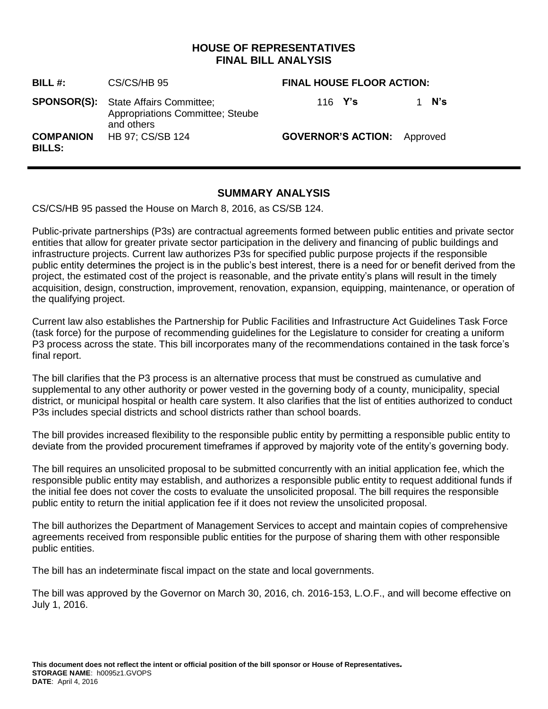## **HOUSE OF REPRESENTATIVES FINAL BILL ANALYSIS**

| BILL #:                           | CS/CS/HB 95                                                                                          | <b>FINAL HOUSE FLOOR ACTION:</b>   |          |
|-----------------------------------|------------------------------------------------------------------------------------------------------|------------------------------------|----------|
|                                   | <b>SPONSOR(S):</b> State Affairs Committee;<br><b>Appropriations Committee; Steube</b><br>and others | 116 $Y's$                          | N's<br>1 |
| <b>COMPANION</b><br><b>BILLS:</b> | HB 97; CS/SB 124                                                                                     | <b>GOVERNOR'S ACTION:</b> Approved |          |

# **SUMMARY ANALYSIS**

CS/CS/HB 95 passed the House on March 8, 2016, as CS/SB 124.

Public-private partnerships (P3s) are contractual agreements formed between public entities and private sector entities that allow for greater private sector participation in the delivery and financing of public buildings and infrastructure projects. Current law authorizes P3s for specified public purpose projects if the responsible public entity determines the project is in the public's best interest, there is a need for or benefit derived from the project, the estimated cost of the project is reasonable, and the private entity's plans will result in the timely acquisition, design, construction, improvement, renovation, expansion, equipping, maintenance, or operation of the qualifying project.

Current law also establishes the Partnership for Public Facilities and Infrastructure Act Guidelines Task Force (task force) for the purpose of recommending guidelines for the Legislature to consider for creating a uniform P3 process across the state. This bill incorporates many of the recommendations contained in the task force's final report.

The bill clarifies that the P3 process is an alternative process that must be construed as cumulative and supplemental to any other authority or power vested in the governing body of a county, municipality, special district, or municipal hospital or health care system. It also clarifies that the list of entities authorized to conduct P3s includes special districts and school districts rather than school boards.

The bill provides increased flexibility to the responsible public entity by permitting a responsible public entity to deviate from the provided procurement timeframes if approved by majority vote of the entity's governing body.

The bill requires an unsolicited proposal to be submitted concurrently with an initial application fee, which the responsible public entity may establish, and authorizes a responsible public entity to request additional funds if the initial fee does not cover the costs to evaluate the unsolicited proposal. The bill requires the responsible public entity to return the initial application fee if it does not review the unsolicited proposal.

The bill authorizes the Department of Management Services to accept and maintain copies of comprehensive agreements received from responsible public entities for the purpose of sharing them with other responsible public entities.

The bill has an indeterminate fiscal impact on the state and local governments.

The bill was approved by the Governor on March 30, 2016, ch. 2016-153, L.O.F., and will become effective on July 1, 2016.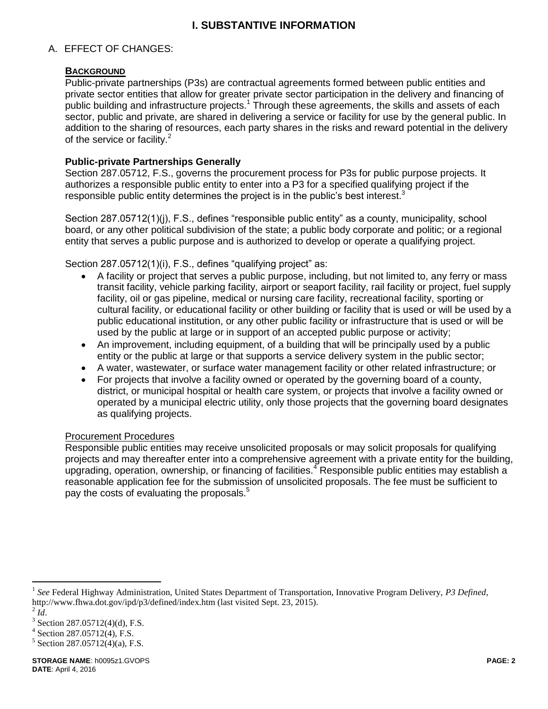# **I. SUBSTANTIVE INFORMATION**

## A. EFFECT OF CHANGES:

#### **BACKGROUND**

Public-private partnerships (P3s) are contractual agreements formed between public entities and private sector entities that allow for greater private sector participation in the delivery and financing of public building and infrastructure projects.<sup>1</sup> Through these agreements, the skills and assets of each sector, public and private, are shared in delivering a service or facility for use by the general public. In addition to the sharing of resources, each party shares in the risks and reward potential in the delivery of the service or facility. $2^2$ 

### **Public-private Partnerships Generally**

Section 287.05712, F.S., governs the procurement process for P3s for public purpose projects. It authorizes a responsible public entity to enter into a P3 for a specified qualifying project if the responsible public entity determines the project is in the public's best interest.<sup>3</sup>

Section 287.05712(1)(j), F.S., defines "responsible public entity" as a county, municipality, school board, or any other political subdivision of the state; a public body corporate and politic; or a regional entity that serves a public purpose and is authorized to develop or operate a qualifying project.

Section 287.05712(1)(i), F.S., defines "qualifying project" as:

- A facility or project that serves a public purpose, including, but not limited to, any ferry or mass transit facility, vehicle parking facility, airport or seaport facility, rail facility or project, fuel supply facility, oil or gas pipeline, medical or nursing care facility, recreational facility, sporting or cultural facility, or educational facility or other building or facility that is used or will be used by a public educational institution, or any other public facility or infrastructure that is used or will be used by the public at large or in support of an accepted public purpose or activity;
- An improvement, including equipment, of a building that will be principally used by a public entity or the public at large or that supports a service delivery system in the public sector;
- A water, wastewater, or surface water management facility or other related infrastructure; or
- For projects that involve a facility owned or operated by the governing board of a county, district, or municipal hospital or health care system, or projects that involve a facility owned or operated by a municipal electric utility, only those projects that the governing board designates as qualifying projects.

#### Procurement Procedures

Responsible public entities may receive unsolicited proposals or may solicit proposals for qualifying projects and may thereafter enter into a comprehensive agreement with a private entity for the building, upgrading, operation, ownership, or financing of facilities.<sup>4</sup> Responsible public entities may establish a reasonable application fee for the submission of unsolicited proposals. The fee must be sufficient to pay the costs of evaluating the proposals.<sup>5</sup>

<sup>&</sup>lt;sup>1</sup> See Federal Highway Administration, United States Department of Transportation, Innovative Program Delivery, P3 Defined, http://www.fhwa.dot.gov/ipd/p3/defined/index.htm (last visited Sept. 23, 2015).

 $^2$   $\tilde{Id}$ .

 $3$  Section 287.05712(4)(d), F.S.

<sup>4</sup> Section 287.05712(4), F.S.

 $5$  Section 287.05712(4)(a), F.S.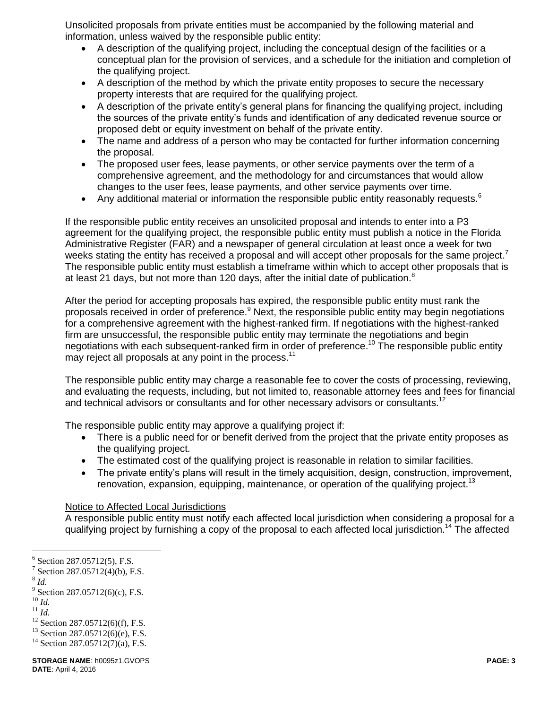Unsolicited proposals from private entities must be accompanied by the following material and information, unless waived by the responsible public entity:

- A description of the qualifying project, including the conceptual design of the facilities or a conceptual plan for the provision of services, and a schedule for the initiation and completion of the qualifying project.
- A description of the method by which the private entity proposes to secure the necessary property interests that are required for the qualifying project.
- A description of the private entity's general plans for financing the qualifying project, including the sources of the private entity's funds and identification of any dedicated revenue source or proposed debt or equity investment on behalf of the private entity.
- The name and address of a person who may be contacted for further information concerning the proposal.
- The proposed user fees, lease payments, or other service payments over the term of a comprehensive agreement, and the methodology for and circumstances that would allow changes to the user fees, lease payments, and other service payments over time.
- Any additional material or information the responsible public entity reasonably requests. $6$

If the responsible public entity receives an unsolicited proposal and intends to enter into a P3 agreement for the qualifying project, the responsible public entity must publish a notice in the Florida Administrative Register (FAR) and a newspaper of general circulation at least once a week for two weeks stating the entity has received a proposal and will accept other proposals for the same project.<sup>7</sup> The responsible public entity must establish a timeframe within which to accept other proposals that is at least 21 days, but not more than 120 days, after the initial date of publication.<sup>8</sup>

After the period for accepting proposals has expired, the responsible public entity must rank the proposals received in order of preference.<sup>9</sup> Next, the responsible public entity may begin negotiations for a comprehensive agreement with the highest-ranked firm. If negotiations with the highest-ranked firm are unsuccessful, the responsible public entity may terminate the negotiations and begin negotiations with each subsequent-ranked firm in order of preference.<sup>10</sup> The responsible public entity may reject all proposals at any point in the process.<sup>11</sup>

The responsible public entity may charge a reasonable fee to cover the costs of processing, reviewing, and evaluating the requests, including, but not limited to, reasonable attorney fees and fees for financial and technical advisors or consultants and for other necessary advisors or consultants.<sup>12</sup>

The responsible public entity may approve a qualifying project if:

- There is a public need for or benefit derived from the project that the private entity proposes as the qualifying project.
- The estimated cost of the qualifying project is reasonable in relation to similar facilities.
- The private entity's plans will result in the timely acquisition, design, construction, improvement, renovation, expansion, equipping, maintenance, or operation of the qualifying project.<sup>13</sup>

### Notice to Affected Local Jurisdictions

A responsible public entity must notify each affected local jurisdiction when considering a proposal for a qualifying project by furnishing a copy of the proposal to each affected local jurisdiction.<sup>14</sup> The affected

8 *Id.*

 $\overline{a}$ 

<sup>10</sup> *Id.*

 $6$  Section 287.05712(5), F.S.

<sup>&</sup>lt;sup>7</sup> Section 287.05712(4)(b), F.S.

 $9^9$  Section 287.05712(6)(c), F.S.

<sup>11</sup> *Id.*

 $12$  Section 287.05712(6)(f), F.S.

 $13$  Section 287.05712(6)(e), F.S.

<sup>&</sup>lt;sup>14</sup> Section 287.05712(7)(a), F.S.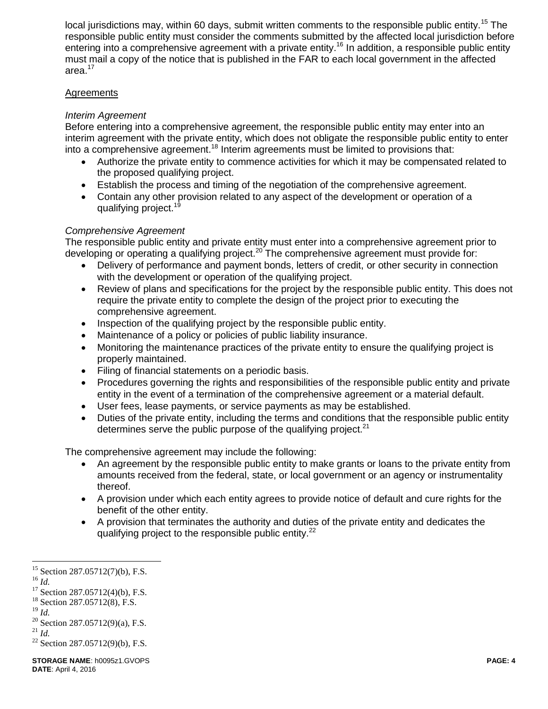local jurisdictions may, within 60 days, submit written comments to the responsible public entity.<sup>15</sup> The responsible public entity must consider the comments submitted by the affected local jurisdiction before entering into a comprehensive agreement with a private entity.<sup>16</sup> In addition, a responsible public entity must mail a copy of the notice that is published in the FAR to each local government in the affected area.<sup>17</sup>

### **Agreements**

## *Interim Agreement*

Before entering into a comprehensive agreement, the responsible public entity may enter into an interim agreement with the private entity, which does not obligate the responsible public entity to enter into a comprehensive agreement.<sup>18</sup> Interim agreements must be limited to provisions that:

- Authorize the private entity to commence activities for which it may be compensated related to the proposed qualifying project.
- Establish the process and timing of the negotiation of the comprehensive agreement.
- Contain any other provision related to any aspect of the development or operation of a qualifying project.<sup>19</sup>

## *Comprehensive Agreement*

The responsible public entity and private entity must enter into a comprehensive agreement prior to developing or operating a qualifying project.<sup>20</sup> The comprehensive agreement must provide for:

- Delivery of performance and payment bonds, letters of credit, or other security in connection with the development or operation of the qualifying project.
- Review of plans and specifications for the project by the responsible public entity. This does not require the private entity to complete the design of the project prior to executing the comprehensive agreement.
- Inspection of the qualifying project by the responsible public entity.
- Maintenance of a policy or policies of public liability insurance.
- Monitoring the maintenance practices of the private entity to ensure the qualifying project is properly maintained.
- Filing of financial statements on a periodic basis.
- Procedures governing the rights and responsibilities of the responsible public entity and private entity in the event of a termination of the comprehensive agreement or a material default.
- User fees, lease payments, or service payments as may be established.
- Duties of the private entity, including the terms and conditions that the responsible public entity determines serve the public purpose of the qualifying project. $21$

The comprehensive agreement may include the following:

- An agreement by the responsible public entity to make grants or loans to the private entity from amounts received from the federal, state, or local government or an agency or instrumentality thereof.
- A provision under which each entity agrees to provide notice of default and cure rights for the benefit of the other entity.
- A provision that terminates the authority and duties of the private entity and dedicates the qualifying project to the responsible public entity.<sup>22</sup>

 $15$  Section 287.05712(7)(b), F.S.

<sup>16</sup> *Id.*

 $17$  Section 287.05712(4)(b), F.S.

<sup>&</sup>lt;sup>18</sup> Section 287.05712(8), F.S.

<sup>19</sup> *Id.*

<sup>&</sup>lt;sup>20</sup> Section 287.05712(9)(a), F.S.

<sup>21</sup> *Id.*

<sup>22</sup> Section 287.05712(9)(b), F.S.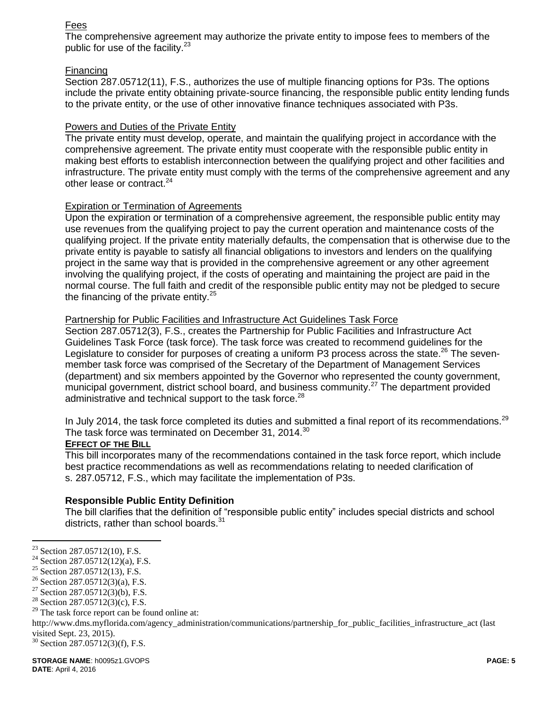### Fees

The comprehensive agreement may authorize the private entity to impose fees to members of the public for use of the facility.<sup>23</sup>

#### Financing

Section 287.05712(11), F.S., authorizes the use of multiple financing options for P3s. The options include the private entity obtaining private-source financing, the responsible public entity lending funds to the private entity, or the use of other innovative finance techniques associated with P3s.

#### Powers and Duties of the Private Entity

The private entity must develop, operate, and maintain the qualifying project in accordance with the comprehensive agreement. The private entity must cooperate with the responsible public entity in making best efforts to establish interconnection between the qualifying project and other facilities and infrastructure. The private entity must comply with the terms of the comprehensive agreement and any other lease or contract.<sup>24</sup>

#### Expiration or Termination of Agreements

Upon the expiration or termination of a comprehensive agreement, the responsible public entity may use revenues from the qualifying project to pay the current operation and maintenance costs of the qualifying project. If the private entity materially defaults, the compensation that is otherwise due to the private entity is payable to satisfy all financial obligations to investors and lenders on the qualifying project in the same way that is provided in the comprehensive agreement or any other agreement involving the qualifying project, if the costs of operating and maintaining the project are paid in the normal course. The full faith and credit of the responsible public entity may not be pledged to secure the financing of the private entity. $25$ 

#### Partnership for Public Facilities and Infrastructure Act Guidelines Task Force

Section 287.05712(3), F.S., creates the Partnership for Public Facilities and Infrastructure Act Guidelines Task Force (task force). The task force was created to recommend guidelines for the Legislature to consider for purposes of creating a uniform P3 process across the state.<sup>26</sup> The sevenmember task force was comprised of the Secretary of the Department of Management Services (department) and six members appointed by the Governor who represented the county government, municipal government, district school board, and business community.<sup>27</sup> The department provided administrative and technical support to the task force.<sup>28</sup>

In July 2014, the task force completed its duties and submitted a final report of its recommendations.<sup>29</sup> The task force was terminated on December 31, 2014.<sup>30</sup>

#### **EFFECT OF THE BILL**

This bill incorporates many of the recommendations contained in the task force report, which include best practice recommendations as well as recommendations relating to needed clarification of s. 287.05712, F.S., which may facilitate the implementation of P3s.

### **Responsible Public Entity Definition**

The bill clarifies that the definition of "responsible public entity" includes special districts and school districts, rather than school boards.<sup>31</sup>

<sup>&</sup>lt;sup>23</sup> Section 287.05712(10), F.S.

<sup>&</sup>lt;sup>24</sup> Section 287.05712(12)(a), F.S.

<sup>25</sup> Section 287.05712(13), F.S.

<sup>26</sup> Section 287.05712(3)(a), F.S.

<sup>&</sup>lt;sup>27</sup> Section 287.05712(3)(b), F.S.

<sup>&</sup>lt;sup>28</sup> Section 287.05712(3)(c), F.S.

 $29$  The task force report can be found online at:

http://www.dms.myflorida.com/agency\_administration/communications/partnership\_for\_public\_facilities\_infrastructure\_act (last visited Sept. 23, 2015).

<sup>30</sup> Section 287.05712(3)(f), F.S.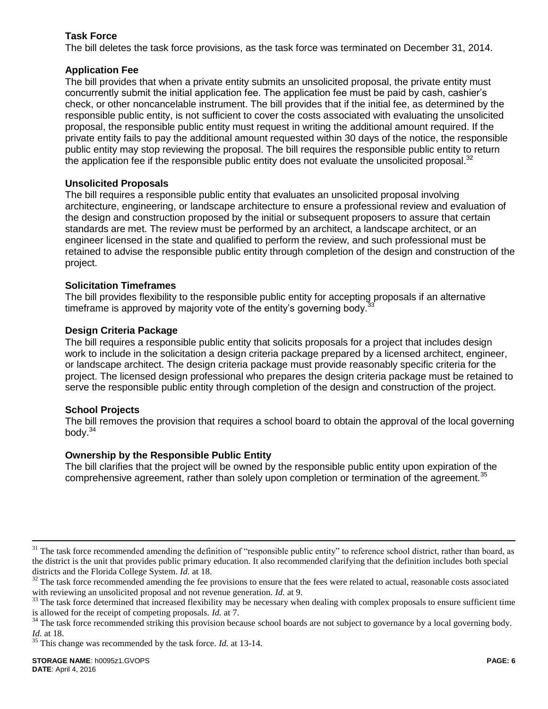## **Task Force**

The bill deletes the task force provisions, as the task force was terminated on December 31, 2014.

## **Application Fee**

The bill provides that when a private entity submits an unsolicited proposal, the private entity must concurrently submit the initial application fee. The application fee must be paid by cash, cashier's check, or other noncancelable instrument. The bill provides that if the initial fee, as determined by the responsible public entity, is not sufficient to cover the costs associated with evaluating the unsolicited proposal, the responsible public entity must request in writing the additional amount required. If the private entity fails to pay the additional amount requested within 30 days of the notice, the responsible public entity may stop reviewing the proposal. The bill requires the responsible public entity to return the application fee if the responsible public entity does not evaluate the unsolicited proposal. $32$ 

### **Unsolicited Proposals**

The bill requires a responsible public entity that evaluates an unsolicited proposal involving architecture, engineering, or landscape architecture to ensure a professional review and evaluation of the design and construction proposed by the initial or subsequent proposers to assure that certain standards are met. The review must be performed by an architect, a landscape architect, or an engineer licensed in the state and qualified to perform the review, and such professional must be retained to advise the responsible public entity through completion of the design and construction of the project.

### **Solicitation Timeframes**

The bill provides flexibility to the responsible public entity for accepting proposals if an alternative timeframe is approved by majority vote of the entity's governing body. $\frac{3}{2}$ 

## **Design Criteria Package**

The bill requires a responsible public entity that solicits proposals for a project that includes design work to include in the solicitation a design criteria package prepared by a licensed architect, engineer, or landscape architect. The design criteria package must provide reasonably specific criteria for the project. The licensed design professional who prepares the design criteria package must be retained to serve the responsible public entity through completion of the design and construction of the project.

### **School Projects**

The bill removes the provision that requires a school board to obtain the approval of the local governing body. $34$ 

### **Ownership by the Responsible Public Entity**

The bill clarifies that the project will be owned by the responsible public entity upon expiration of the comprehensive agreement, rather than solely upon completion or termination of the agreement.<sup>35</sup>

 $31$  The task force recommended amending the definition of "responsible public entity" to reference school district, rather than board, as the district is the unit that provides public primary education. It also recommended clarifying that the definition includes both special districts and the Florida College System. *Id.* at 18.

<sup>&</sup>lt;sup>32</sup> The task force recommended amending the fee provisions to ensure that the fees were related to actual, reasonable costs associated with reviewing an unsolicited proposal and not revenue generation. *Id.* at 9.

<sup>&</sup>lt;sup>33</sup> The task force determined that increased flexibility may be necessary when dealing with complex proposals to ensure sufficient time is allowed for the receipt of competing proposals. *Id.* at 7.

<sup>&</sup>lt;sup>34</sup> The task force recommended striking this provision because school boards are not subject to governance by a local governing body. *Id.* at 18.

<sup>35</sup> This change was recommended by the task force. *Id.* at 13-14.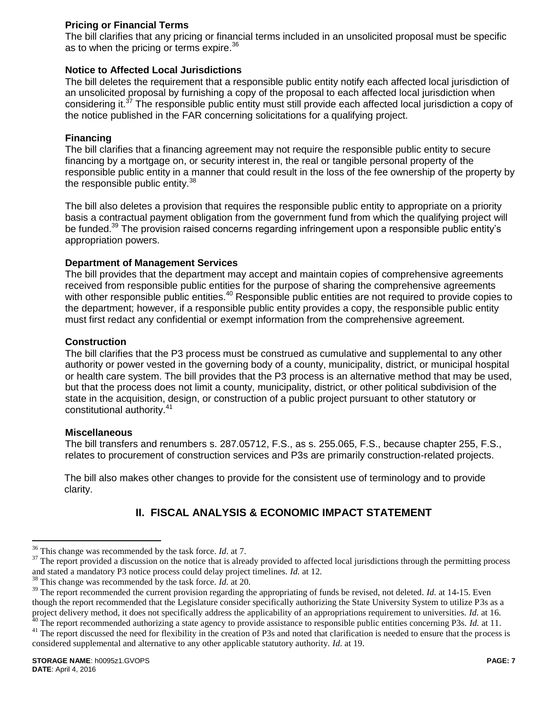## **Pricing or Financial Terms**

The bill clarifies that any pricing or financial terms included in an unsolicited proposal must be specific as to when the pricing or terms expire.<sup>36</sup>

## **Notice to Affected Local Jurisdictions**

The bill deletes the requirement that a responsible public entity notify each affected local jurisdiction of an unsolicited proposal by furnishing a copy of the proposal to each affected local jurisdiction when considering it.<sup>37</sup> The responsible public entity must still provide each affected local jurisdiction a copy of the notice published in the FAR concerning solicitations for a qualifying project.

## **Financing**

The bill clarifies that a financing agreement may not require the responsible public entity to secure financing by a mortgage on, or security interest in, the real or tangible personal property of the responsible public entity in a manner that could result in the loss of the fee ownership of the property by the responsible public entity.<sup>38</sup>

The bill also deletes a provision that requires the responsible public entity to appropriate on a priority basis a contractual payment obligation from the government fund from which the qualifying project will be funded.<sup>39</sup> The provision raised concerns regarding infringement upon a responsible public entity's appropriation powers.

### **Department of Management Services**

The bill provides that the department may accept and maintain copies of comprehensive agreements received from responsible public entities for the purpose of sharing the comprehensive agreements with other responsible public entities.<sup>40</sup> Responsible public entities are not required to provide copies to the department; however, if a responsible public entity provides a copy, the responsible public entity must first redact any confidential or exempt information from the comprehensive agreement.

#### **Construction**

The bill clarifies that the P3 process must be construed as cumulative and supplemental to any other authority or power vested in the governing body of a county, municipality, district, or municipal hospital or health care system. The bill provides that the P3 process is an alternative method that may be used, but that the process does not limit a county, municipality, district, or other political subdivision of the state in the acquisition, design, or construction of a public project pursuant to other statutory or constitutional authority.<sup>41</sup>

#### **Miscellaneous**

The bill transfers and renumbers s. 287.05712, F.S., as s. 255.065, F.S., because chapter 255, F.S., relates to procurement of construction services and P3s are primarily construction-related projects.

The bill also makes other changes to provide for the consistent use of terminology and to provide clarity.

# **II. FISCAL ANALYSIS & ECONOMIC IMPACT STATEMENT**

<sup>36</sup> This change was recommended by the task force. *Id*. at 7.

<sup>&</sup>lt;sup>37</sup> The report provided a discussion on the notice that is already provided to affected local jurisdictions through the permitting process and stated a mandatory P3 notice process could delay project timelines. *Id.* at 12.

<sup>38</sup> This change was recommended by the task force. *Id.* at 20.

<sup>&</sup>lt;sup>39</sup> The report recommended the current provision regarding the appropriating of funds be revised, not deleted. *Id.* at 14-15. Even though the report recommended that the Legislature consider specifically authorizing the State University System to utilize P3s as a project delivery method, it does not specifically address the applicability of an appropriations requirement to universities. *Id.* at 16. <sup>40</sup> The report recommended authorizing a state agency to provide assistance to responsible public entities concerning P3s. *Id.* at 11.

<sup>&</sup>lt;sup>41</sup> The report discussed the need for flexibility in the creation of P3s and noted that clarification is needed to ensure that the process is considered supplemental and alternative to any other applicable statutory authority. *Id*. at 19.